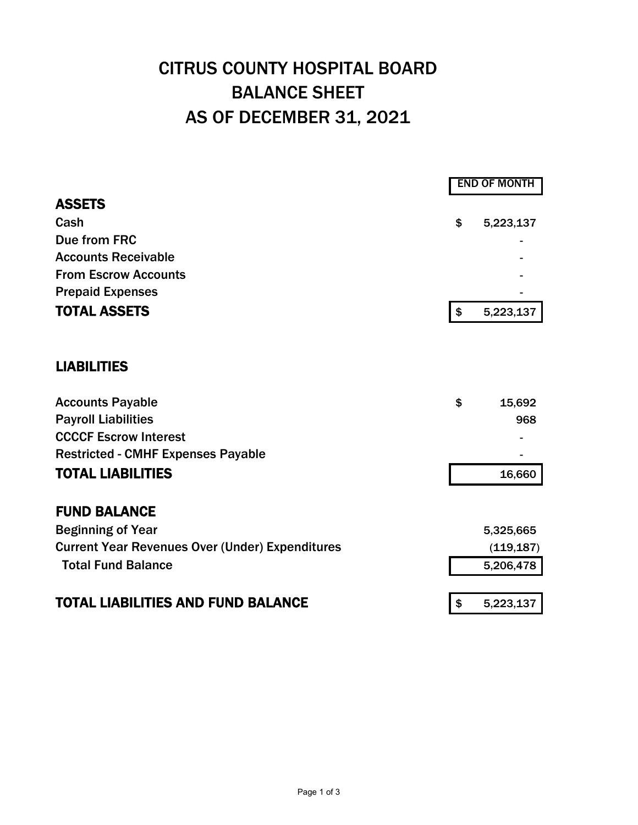## CITRUS COUNTY HOSPITAL BOARD BALANCE SHEET AS OF DECEMBER 31, 2021

|                                                        | <b>END OF MONTH</b> |            |  |
|--------------------------------------------------------|---------------------|------------|--|
| <b>ASSETS</b>                                          |                     |            |  |
| Cash                                                   | \$                  | 5,223,137  |  |
| Due from FRC                                           |                     |            |  |
| <b>Accounts Receivable</b>                             |                     |            |  |
| <b>From Escrow Accounts</b>                            |                     |            |  |
| <b>Prepaid Expenses</b>                                |                     |            |  |
| <b>TOTAL ASSETS</b>                                    | $\boldsymbol{\$}$   | 5,223,137  |  |
| <b>LIABILITIES</b>                                     |                     |            |  |
| <b>Accounts Payable</b>                                | \$                  | 15,692     |  |
| <b>Payroll Liabilities</b>                             |                     | 968        |  |
| <b>CCCCF Escrow Interest</b>                           |                     |            |  |
| <b>Restricted - CMHF Expenses Payable</b>              |                     |            |  |
| <b>TOTAL LIABILITIES</b>                               |                     | 16,660     |  |
| <b>FUND BALANCE</b>                                    |                     |            |  |
| <b>Beginning of Year</b>                               |                     | 5,325,665  |  |
| <b>Current Year Revenues Over (Under) Expenditures</b> |                     | (119, 187) |  |
| <b>Total Fund Balance</b>                              |                     | 5,206,478  |  |
| <b>TOTAL LIABILITIES AND FUND BALANCE</b>              | \$                  | 5,223,137  |  |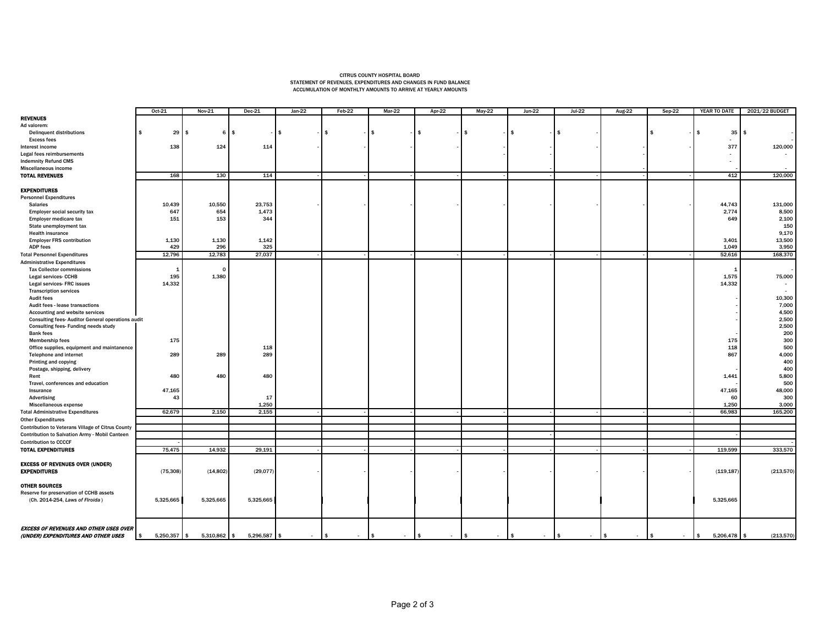## CITRUS COUNTY HOSPITAL BOARD STATEMENT OF REVENUES, EXPENDITURES AND CHANGES IN FUND BALANCE ACCUMULATION OF MONTHLTY AMOUNTS TO ARRIVE AT YEARLY AMOUNTS

|                                                         | Oct-21              | Nov-21       | $Dec-21$     | $Jan-22$     | Feb-22                  | $Mar-22$             | Apr-22               | $May-22$               | $Jun-22$                | $Jul-22$               | <b>Aug-22</b> | $Sep-22$     | YEAR TO DATE               | 2021/22 BUDGET        |
|---------------------------------------------------------|---------------------|--------------|--------------|--------------|-------------------------|----------------------|----------------------|------------------------|-------------------------|------------------------|---------------|--------------|----------------------------|-----------------------|
| <b>REVENUES</b>                                         |                     |              |              |              |                         |                      |                      |                        |                         |                        |               |              |                            |                       |
| Ad valorem:                                             |                     |              |              |              |                         |                      |                      |                        |                         |                        |               |              |                            |                       |
| <b>Delinquent distributions</b>                         | $29 \quad$ \$<br>\$ | 6            | $\mathbf{s}$ | $\mathbf{s}$ | \$.                     |                      | \$                   |                        |                         | ·IS                    |               | - \$         | 35                         | s.                    |
| <b>Excess fees</b>                                      |                     |              |              |              |                         |                      |                      |                        |                         |                        |               |              |                            |                       |
| Interest income                                         | 138                 | 124          | 114          |              |                         |                      |                      |                        |                         |                        |               |              | 377                        | 120,000               |
| Legal fees reimbursements                               |                     |              |              |              |                         |                      |                      |                        |                         |                        |               |              | $\overline{\phantom{a}}$   |                       |
| <b>Indemnity Refund CMS</b>                             |                     |              |              |              |                         |                      |                      |                        |                         |                        |               |              | $\sim$                     |                       |
| Miscellaneous income                                    |                     |              |              |              |                         |                      |                      |                        |                         |                        |               |              |                            |                       |
| <b>TOTAL REVENUES</b>                                   | 168                 | 130          | 114          |              |                         |                      |                      |                        |                         |                        |               |              | 412                        | 120,000               |
|                                                         |                     |              |              |              |                         |                      |                      |                        |                         |                        |               |              |                            |                       |
|                                                         |                     |              |              |              |                         |                      |                      |                        |                         |                        |               |              |                            |                       |
| <b>EXPENDITURES</b>                                     |                     |              |              |              |                         |                      |                      |                        |                         |                        |               |              |                            |                       |
| <b>Personnel Expenditures</b>                           |                     |              |              |              |                         |                      |                      |                        |                         |                        |               |              |                            |                       |
| <b>Salaries</b>                                         | 10,439              | 10,550       | 23,753       |              |                         |                      |                      |                        |                         |                        |               |              | 44,743                     | 131,000               |
| <b>Employer social security tax</b>                     | 647                 | 654          | 1,473        |              |                         |                      |                      |                        |                         |                        |               |              | 2,774                      | 8,500                 |
| Employer medicare tax                                   | 151                 | 153          | 344          |              |                         |                      |                      |                        |                         |                        |               |              | 649                        | 2,100                 |
| State unemployment tax                                  |                     |              |              |              |                         |                      |                      |                        |                         |                        |               |              |                            | 150                   |
| <b>Health insurance</b>                                 |                     |              |              |              |                         |                      |                      |                        |                         |                        |               |              |                            | 9,170                 |
| <b>Employer FRS contribution</b>                        | 1,130               | 1,130        | 1,142        |              |                         |                      |                      |                        |                         |                        |               |              | 3,401                      | 13,500                |
| <b>ADP fees</b>                                         | 429                 | 296          | 325          |              |                         |                      |                      |                        |                         |                        |               |              | 1.049                      | 3,950                 |
| <b>Total Personnel Expenditures</b>                     | 12,796              | 12,783       | 27,037       |              |                         |                      |                      |                        |                         |                        |               |              | 52,616                     | 168,370               |
| <b>Administrative Expenditures</b>                      |                     |              |              |              |                         |                      |                      |                        |                         |                        |               |              |                            |                       |
| <b>Tax Collector commissions</b>                        | $\mathbf{1}$        | $\Omega$     |              |              |                         |                      |                      |                        |                         |                        |               |              | - 1                        |                       |
| Legal services- CCHB                                    | 195                 | 1,380        |              |              |                         |                      |                      |                        |                         |                        |               |              | 1,575                      | 75,000                |
| Legal services- FRC issues                              | 14,332              |              |              |              |                         |                      |                      |                        |                         |                        |               |              | 14,332                     |                       |
| <b>Transcription services</b>                           |                     |              |              |              |                         |                      |                      |                        |                         |                        |               |              |                            |                       |
| <b>Audit fees</b>                                       |                     |              |              |              |                         |                      |                      |                        |                         |                        |               |              |                            | 10,300                |
| Audit fees - lease transactions                         |                     |              |              |              |                         |                      |                      |                        |                         |                        |               |              |                            | 7,000                 |
| Accounting and website services                         |                     |              |              |              |                         |                      |                      |                        |                         |                        |               |              |                            | 4,500                 |
| <b>Consulting fees-Auditor General operations audit</b> |                     |              |              |              |                         |                      |                      |                        |                         |                        |               |              |                            | 2,500                 |
| Consulting fees- Funding needs study                    |                     |              |              |              |                         |                      |                      |                        |                         |                        |               |              |                            | 2,500                 |
| <b>Bank fees</b>                                        |                     |              |              |              |                         |                      |                      |                        |                         |                        |               |              |                            | 200                   |
| <b>Membership fees</b>                                  | 175                 |              |              |              |                         |                      |                      |                        |                         |                        |               |              | 175                        | 300                   |
| Office supplies, equipment and maintanence              |                     |              | 118          |              |                         |                      |                      |                        |                         |                        |               |              | 118                        | 500                   |
| Telephone and internet                                  | 289                 | 289          | 289          |              |                         |                      |                      |                        |                         |                        |               |              | 867                        | 4,000                 |
|                                                         |                     |              |              |              |                         |                      |                      |                        |                         |                        |               |              |                            |                       |
| Printing and copying                                    |                     |              |              |              |                         |                      |                      |                        |                         |                        |               |              |                            | 400                   |
| Postage, shipping, delivery                             |                     |              |              |              |                         |                      |                      |                        |                         |                        |               |              |                            | 400                   |
| Rent                                                    | 480                 | 480          | 480          |              |                         |                      |                      |                        |                         |                        |               |              | 1,441                      | 5,800                 |
| Travel, conferences and education                       |                     |              |              |              |                         |                      |                      |                        |                         |                        |               |              |                            | 500                   |
| Insurance                                               | 47,165              |              |              |              |                         |                      |                      |                        |                         |                        |               |              | 47,165                     | 48,000                |
| Advertising                                             | 43                  |              | 17           |              |                         |                      |                      |                        |                         |                        |               |              | 60                         | 300                   |
| Miscellaneous expense                                   |                     |              | 1.250        |              |                         |                      |                      |                        |                         |                        |               |              | 1.250                      | 3,000                 |
| <b>Total Administrative Expenditures</b>                | 62,679              | 2,150        | 2,155        |              |                         |                      |                      |                        |                         |                        |               |              | 66,983                     | 165,200               |
| <b>Other Expenditures</b>                               |                     |              |              |              |                         |                      |                      |                        |                         |                        |               |              |                            |                       |
| Contribution to Veterans Village of Citrus County       |                     |              |              |              |                         |                      |                      |                        |                         |                        |               |              |                            |                       |
| Contribution to Salvation Army - Mobil Canteen          |                     |              |              |              |                         |                      |                      |                        |                         |                        |               |              |                            |                       |
| <b>Contribution to CCCCF</b>                            |                     |              |              |              |                         |                      |                      |                        |                         |                        |               |              |                            |                       |
| <b>TOTAL EXPENDITURES</b>                               | 75,475              | 14,932       | 29,191       |              |                         |                      |                      |                        |                         |                        |               |              | 119,599                    | 333,570               |
|                                                         |                     |              |              |              |                         |                      |                      |                        |                         |                        |               |              |                            |                       |
| <b>EXCESS OF REVENUES OVER (UNDER)</b>                  |                     |              |              |              |                         |                      |                      |                        |                         |                        |               |              |                            |                       |
| <b>EXPENDITURES</b>                                     | (75, 308)           | (14, 802)    | (29, 077)    |              |                         |                      |                      |                        |                         |                        |               |              | (119, 187)                 | (213, 570)            |
|                                                         |                     |              |              |              |                         |                      |                      |                        |                         |                        |               |              |                            |                       |
| <b>OTHER SOURCES</b>                                    |                     |              |              |              |                         |                      |                      |                        |                         |                        |               |              |                            |                       |
| Reserve for preservation of CCHB assets                 |                     |              |              |              |                         |                      |                      |                        |                         |                        |               |              |                            |                       |
| (Ch. 2014-254, Laws of Firoida)                         |                     |              |              |              |                         |                      |                      |                        |                         |                        |               |              |                            |                       |
|                                                         | 5,325,665           | 5,325,665    | 5,325,665    |              |                         |                      |                      |                        |                         |                        |               |              | 5,325,665                  |                       |
|                                                         |                     |              |              |              |                         |                      |                      |                        |                         |                        |               |              |                            |                       |
|                                                         |                     |              |              |              |                         |                      |                      |                        |                         |                        |               |              |                            |                       |
|                                                         |                     |              |              |              |                         |                      |                      |                        |                         |                        |               |              |                            |                       |
| <b>EXCESS OF REVENUES AND OTHER USES OVER</b>           |                     |              |              |              |                         |                      |                      |                        |                         |                        |               |              |                            |                       |
| (UNDER) EXPENDITURES AND OTHER USES                     | 5,250,357 \$<br>\$  | 5,310,862 \$ | 5,296,587 \$ | $\sim$       | $\frac{1}{2}$<br>$\sim$ | $\sqrt{2}$<br>$\sim$ | $\sqrt{ }$<br>$\sim$ | $\mathsf{I}$<br>$\sim$ | $\frac{1}{2}$<br>$\sim$ | $\mathsf{I}$<br>$\sim$ | ls.<br>$\sim$ | \$<br>$\sim$ | 5,206,478<br>$\frac{1}{2}$ | (213,570)<br><b>S</b> |